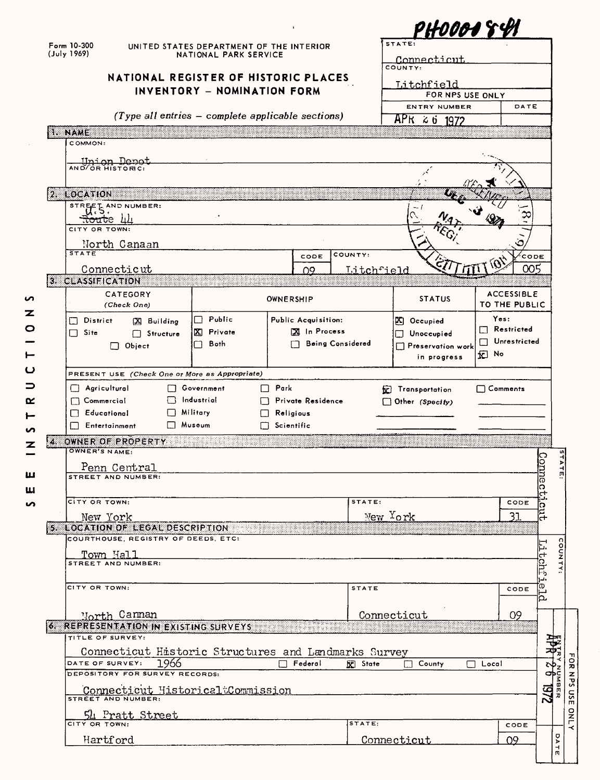|                           |                                                                                                                                                                                                                                                                       |      |                                          |                                          |                         |         |                |             |                                   | phooo1 8                 |            |                   |                   |            |
|---------------------------|-----------------------------------------------------------------------------------------------------------------------------------------------------------------------------------------------------------------------------------------------------------------------|------|------------------------------------------|------------------------------------------|-------------------------|---------|----------------|-------------|-----------------------------------|--------------------------|------------|-------------------|-------------------|------------|
| Form 10-300               |                                                                                                                                                                                                                                                                       |      | UNITED STATES DEPARTMENT OF THE INTERIOR |                                          |                         |         |                | STATE:      |                                   |                          |            |                   |                   |            |
| (July 1969)               |                                                                                                                                                                                                                                                                       |      | NATIONAL PARK SERVICE                    |                                          |                         |         |                | Connecticut |                                   |                          |            |                   |                   |            |
|                           | NATIONAL REGISTER OF HISTORIC PLACES                                                                                                                                                                                                                                  |      |                                          |                                          |                         |         |                | COUNTY:     |                                   |                          |            |                   |                   |            |
|                           |                                                                                                                                                                                                                                                                       |      | INVENTORY - NOMINATION FORM              |                                          |                         |         |                |             | Litchfield                        |                          |            |                   |                   |            |
|                           |                                                                                                                                                                                                                                                                       |      |                                          |                                          |                         |         |                |             |                                   | FOR NPS USE ONLY         |            |                   |                   |            |
|                           | $(Type$ all entries - complete applicable sections)                                                                                                                                                                                                                   |      |                                          |                                          |                         |         |                |             |                                   | <b>ENTRY NUMBER</b>      |            |                   | DATE              |            |
|                           |                                                                                                                                                                                                                                                                       |      |                                          |                                          |                         |         |                |             | $\overline{APK}$ $\approx$ 6 1972 |                          |            |                   |                   |            |
| <b>I. NAME</b><br>COMMON: |                                                                                                                                                                                                                                                                       |      |                                          |                                          |                         |         |                |             |                                   |                          |            |                   |                   |            |
|                           |                                                                                                                                                                                                                                                                       |      |                                          |                                          |                         |         |                |             |                                   |                          |            |                   |                   |            |
|                           | MO/OR MISTORIC:                                                                                                                                                                                                                                                       |      |                                          |                                          |                         |         |                |             |                                   |                          |            |                   |                   |            |
|                           |                                                                                                                                                                                                                                                                       |      |                                          |                                          |                         |         |                |             |                                   |                          |            |                   |                   |            |
| 2. LOCATION 2007          |                                                                                                                                                                                                                                                                       |      |                                          |                                          |                         |         |                |             |                                   |                          |            |                   |                   |            |
|                           | STREET AND NUMBER:                                                                                                                                                                                                                                                    |      |                                          |                                          |                         |         |                |             |                                   |                          |            |                   |                   |            |
|                           | <del>.tout</del> e th                                                                                                                                                                                                                                                 |      |                                          |                                          |                         |         |                |             |                                   |                          |            |                   |                   |            |
| CITY OR TOWN:             |                                                                                                                                                                                                                                                                       |      |                                          |                                          |                         |         |                |             |                                   |                          |            |                   |                   |            |
|                           | North Canaan                                                                                                                                                                                                                                                          |      |                                          |                                          |                         |         |                |             |                                   |                          |            |                   |                   |            |
| <b>STATE</b>              |                                                                                                                                                                                                                                                                       |      |                                          |                                          | CODE                    | COUNTY: |                |             |                                   |                          |            |                   | CODE              |            |
|                           | Connecticut                                                                                                                                                                                                                                                           |      |                                          |                                          | n9                      |         | Litchfield     |             |                                   |                          |            |                   | 005               |            |
| 3. CLASSIFICATION         |                                                                                                                                                                                                                                                                       |      |                                          |                                          |                         |         |                |             |                                   |                          |            |                   |                   |            |
|                           | CATEGORY                                                                                                                                                                                                                                                              |      |                                          | OWNERSHIP                                |                         |         |                |             | <b>STATUS</b>                     |                          |            |                   | <b>ACCESSIBLE</b> |            |
|                           | (Check One)                                                                                                                                                                                                                                                           |      |                                          |                                          |                         |         |                |             |                                   |                          |            |                   | TO THE PUBLIC     |            |
| District<br>ΙI            | $[3]$ Building                                                                                                                                                                                                                                                        |      | □ Public                                 | Public Acquisition:                      |                         |         |                |             | $ \mathcal{K} $ Occupied          |                          |            | Yes:              |                   |            |
| $\Box$ Site               | □ Structure                                                                                                                                                                                                                                                           |      | X Private                                |                                          | XI In Process           |         |                |             | Unoccupied                        |                          |            | $\Box$ Restricted |                   |            |
|                           | $\Box$ Object                                                                                                                                                                                                                                                         |      | Both<br>$\blacksquare$                   |                                          | <b>Being Considered</b> |         |                |             |                                   | $\Box$ Preservation work | П          |                   | Unrestricted      |            |
|                           |                                                                                                                                                                                                                                                                       |      |                                          |                                          |                         |         |                |             |                                   | in progress              | 因 No       |                   |                   |            |
|                           |                                                                                                                                                                                                                                                                       |      |                                          |                                          |                         |         |                |             |                                   |                          |            |                   |                   |            |
|                           | PRESENT USE (Check One or More as Appropriate)                                                                                                                                                                                                                        |      |                                          |                                          |                         |         |                |             |                                   |                          |            |                   |                   |            |
|                           |                                                                                                                                                                                                                                                                       |      |                                          |                                          |                         |         |                |             |                                   |                          |            |                   |                   |            |
| $\Box$ Agricultural       |                                                                                                                                                                                                                                                                       |      | <b>Covernment</b><br>Industrial          | $\Box$ Park                              |                         |         |                |             | <b>E</b> Transportation           |                          |            | $\Box$ Comments   |                   |            |
| $\Box$ Commercial         |                                                                                                                                                                                                                                                                       |      | Military                                 | <b>Private Residence</b>                 |                         |         |                |             | $\Box$ Other (Specify)            |                          |            |                   |                   |            |
| $\Box$ Educational        | $\Box$ Entertainment                                                                                                                                                                                                                                                  |      | Museum                                   | $\Box$ Religious<br>$\square$ Scientific |                         |         |                |             |                                   |                          |            |                   |                   |            |
|                           |                                                                                                                                                                                                                                                                       |      |                                          |                                          |                         |         |                |             |                                   |                          |            |                   |                   |            |
|                           | 4. OWNER OF PROPERTY<br>OWNER'S NAME:                                                                                                                                                                                                                                 |      |                                          |                                          |                         |         |                |             |                                   |                          |            |                   |                   |            |
|                           |                                                                                                                                                                                                                                                                       |      |                                          |                                          |                         |         |                |             |                                   |                          |            |                   |                   | っ          |
|                           | Penn Central<br>STREET AND NUMBER:                                                                                                                                                                                                                                    |      |                                          |                                          |                         |         |                |             |                                   |                          |            |                   |                   |            |
|                           |                                                                                                                                                                                                                                                                       |      |                                          |                                          |                         |         |                |             |                                   |                          |            |                   |                   | Ω          |
| CITY OR TOWN:             |                                                                                                                                                                                                                                                                       |      |                                          |                                          |                         |         | STATE:         |             |                                   |                          |            |                   |                   | ↤          |
|                           |                                                                                                                                                                                                                                                                       |      |                                          |                                          |                         |         |                |             |                                   |                          |            |                   | CODE              | ດ          |
|                           | New York                                                                                                                                                                                                                                                              |      |                                          |                                          |                         |         |                | New York    |                                   |                          |            |                   | 31                | Ξ,         |
|                           | 5. LOCATION OF LEGAL DESCRIPTION AND CONTROL CONTROL CONTROL CONTROL CONTROL CONTROL CONTROL CONTROL CONTROL CONTROL CONTROL CONTROL CONTROL CONTROL CONTROL CONTROL CONTROL CONTROL CONTROL CONTROL CONTROL CONTROL CONTROL C<br>COURTHOUSE, REGISTRY OF DEEDS, ETC: |      |                                          |                                          |                         |         |                |             |                                   |                          |            |                   |                   |            |
|                           |                                                                                                                                                                                                                                                                       |      |                                          |                                          |                         |         |                |             |                                   |                          |            |                   |                   | Ę          |
|                           | Town Hall<br>STREET AND NUMBER:                                                                                                                                                                                                                                       |      |                                          |                                          |                         |         |                |             |                                   |                          |            |                   |                   |            |
|                           |                                                                                                                                                                                                                                                                       |      |                                          |                                          |                         |         |                |             |                                   |                          |            |                   |                   |            |
| CITY OR TOWN:             |                                                                                                                                                                                                                                                                       |      |                                          |                                          |                         |         | STATE          |             |                                   |                          |            |                   | CODE              | tuni:      |
|                           |                                                                                                                                                                                                                                                                       |      |                                          |                                          |                         |         |                |             |                                   |                          |            |                   |                   | eld        |
|                           |                                                                                                                                                                                                                                                                       |      |                                          |                                          |                         |         |                |             |                                   |                          |            |                   |                   |            |
|                           | North Cannan                                                                                                                                                                                                                                                          |      |                                          |                                          |                         |         |                | Connecticut |                                   |                          |            |                   | 09                |            |
|                           | 6. REPRESENTATION IN EXISTING SURVEYS AND ARREST AND REPORT OF THE STATE OF THE STATE OF THE STATE OF THE STATE OF THE STATE OF THE STATE OF THE STATE OF THE STATE OF THE STATE OF THE STATE OF THE STATE OF THE STATE OF THE<br>TITLE OF SURVEY:                    |      |                                          |                                          |                         |         |                |             |                                   |                          |            |                   |                   |            |
|                           |                                                                                                                                                                                                                                                                       |      |                                          |                                          |                         |         |                |             |                                   |                          |            |                   |                   |            |
|                           | Connecticut Historic Structures and Landmarks Survey<br>DATE OF SURVEY:                                                                                                                                                                                               |      |                                          | . .                                      | Federal                 |         |                |             | $\Box$ County                     |                          | Local<br>П |                   |                   |            |
|                           | DEPOSITORY FOR SURVEY RECORDS:                                                                                                                                                                                                                                        | 1966 |                                          |                                          |                         |         | <b>R</b> State |             |                                   |                          |            |                   |                   |            |
|                           |                                                                                                                                                                                                                                                                       |      |                                          |                                          |                         |         |                |             |                                   |                          |            |                   |                   |            |
|                           | Connecticut HistoricaltCommission<br>STREET AND NUMBER:                                                                                                                                                                                                               |      |                                          |                                          |                         |         |                |             |                                   |                          |            |                   |                   | 2/61       |
|                           |                                                                                                                                                                                                                                                                       |      |                                          |                                          |                         |         |                |             |                                   |                          |            |                   |                   |            |
| CITY OR TOWN:             | 54 Pratt Street                                                                                                                                                                                                                                                       |      |                                          |                                          |                         |         | STATE:         |             |                                   |                          |            |                   | CODE              |            |
|                           | Hartford                                                                                                                                                                                                                                                              |      |                                          |                                          |                         |         |                | Connecticut |                                   |                          |            | 09                |                   | JubE<br>ò. |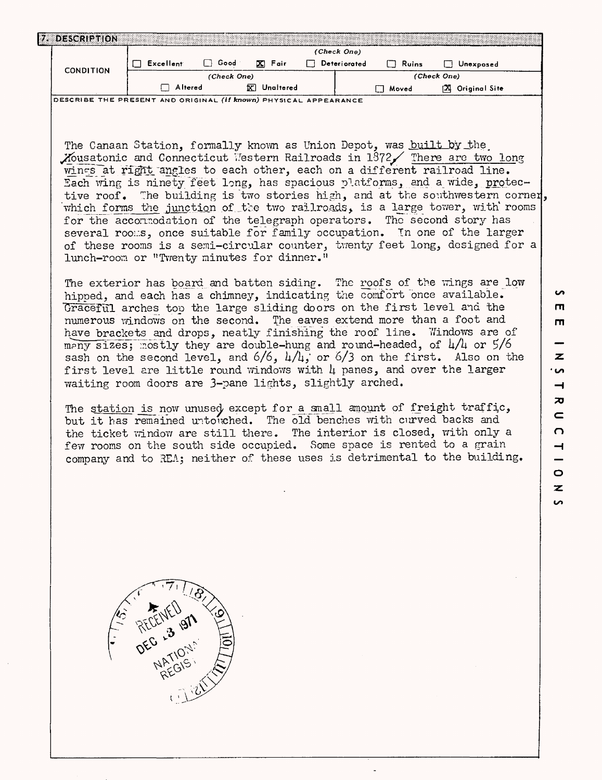|                  |           |             |                 | (Check One)  |         |                     |
|------------------|-----------|-------------|-----------------|--------------|---------|---------------------|
|                  | Excellent | Cood        | Fair<br>K.      | Deteriorated | Ruins   | Unexposed           |
| <b>CONDITION</b> |           | (Check One) |                 |              |         | (Check One)         |
|                  | Altered   |             | ١X<br>Unaltered |              | ™ Moved | Original Site<br>ſХ |

The Canaan Station, formally known as Union Depot, was built by the Mousatonic and Connecticut Vestern Railroads in  $1372\diagup$  There are two long wings at right angles to each other, each on a different railroad line. Each wing is ninety feet long, has spacious platforms, and a wide, protective roof. The building is two stories high, and at the southwestern corner, which forms the junction of the two railroads, is a large tower, with rooms for the accommodation of the telegraph operators. The second story has several rooms, once suitable for family occupation. In one of the larger of these rooms is a semi-circular counter, twenty feet long, designed for a lunch-room or "Twenty minutes for dinner."

The exterior has board and batten siding. The roofs of the wings are low hipped, and each has a chimney, indicating the comfort once available. Graceful arches top the large sliding doors on the first level and the numerous windows on the second. The eaves extend more than a foot and have brackets and drops, neatly finishing the roof line. Windows are of many sizes; mostly they are double-hung and round-headed, of  $\frac{1}{4}$  or  $\frac{5}{6}$ sash on the second level, and  $6/6$ ,  $\frac{1}{4}$ , or  $\frac{6}{3}$  on the first. Also on the first level are little round windows with  $\mu$  panes, and over the larger waiting room doors are 3-pane lights, slightly arched.

The station is now unused except for a small amount of freight traffic, but it has remained untouched. The old benches with curved backs and the ticket window are still there. The interior is closed, with only a few rooms on the south side occupied. Some space is rented to a grain company and to REA; neither of these uses is detrimental to the building.  $\overline{0}$ 

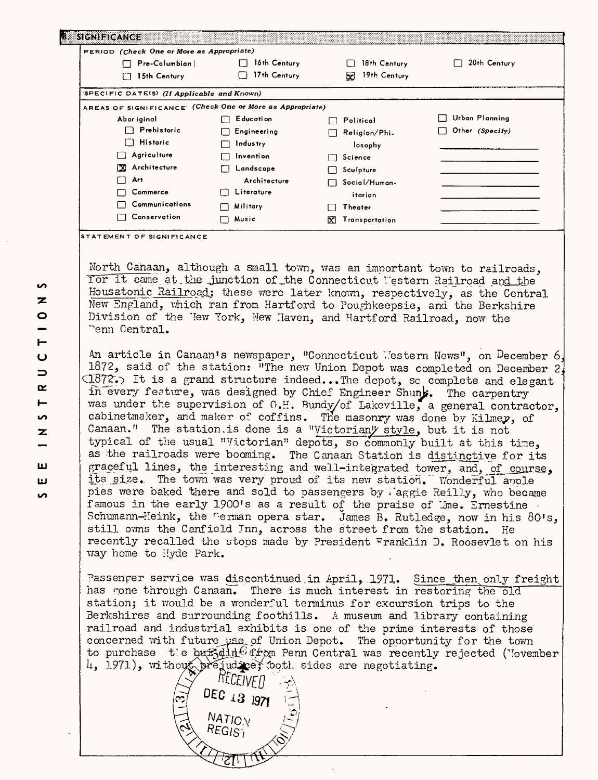| PERIOD (Check One or More as Appropriate)                 |                       |                       |                 |
|-----------------------------------------------------------|-----------------------|-----------------------|-----------------|
| Pre-Cofumbian!                                            | 16th Century          | 18th Century          | 20th Century    |
| 15th Century<br>Г                                         | 17th Century          | 19th Century<br>Ы     |                 |
| SPECIFIC DATE(S) (If Applicable and Known)                |                       |                       |                 |
| AREAS OF SIGNIFICANCE: (Check One or More as Appropriate) |                       |                       |                 |
| Abor iginal                                               | E ducati on<br>FТ     | Political             | Urban Planning  |
| $\Box$ Prehistoric                                        | Engineering<br>ΙI     | Religion/Phi-         | Other (Specify) |
| $\Box$ Historic                                           | <b>Industry</b><br>П  | losophy               |                 |
| Agriculture<br>ιı                                         | <b>Invention</b><br>□ | Science<br>l l        |                 |
| X Architecture                                            | Landscape             | Sculpture             |                 |
| Art                                                       | Architecture          | Social/Human-         |                 |
| Commerce                                                  | Literature            | itarian               |                 |
| Communications                                            | Military              | Theater               |                 |
| Conservation                                              | Music                 | Transportation<br>ΙXΙ |                 |

**STATEMENT OF SIGNIFICANCE**

North Canaan, although a small town, was an important town to railroads, Tor it came at the junction of the Connecticut Western Railroad and the Housatonic Railroad; these were later known, respectively, as the Central New England, which ran from Hartford to Poughkeepsie, and the Berkshire Division of the New York, New Haven, and Hartford Railroad, now the Tenn Central.

An article in Canaan's newspaper, "Connecticut Western News", on December 6, 1872, said of the station: "The new Union Depot was completed on December 2  $C1872$ . It is a grand structure indeed...The depot, so complete and elegant in every feature, was designed by Chief Engineer Shunk. The carpentry was under the supervision of G.H. Bundy/of Lakeville, a general contractor, cabinetmaker, and maker of coffins. The masonry was done by Kilmey, of Canaan." The station, is done is a "Victorian" style, but it is not typical of the usual "Victorian" depots, so commonly built at this time, as the railroads were booming. The Canaan Station is distinctive for its graceful lines, the interesting and well-integrated tower, and, of course, its size. The town was very proud of its new station. Wonderful anole pies were baked there and sold to passengers by laggie Reilly, who became famous in the early 1900's as a result of the praise of Wine. Ernestine Schumann-Heink, the German opera star. James B. Rutledge, now in his 80's, still owns the Canfield Inn, across the street from the station. He recently recalled the stops made by President Franklin D. Roosevlet on his way home to Hyde Park.

Passenger service was discontinued in April, 1971. Since then only freight has rone through Canaan. There is much interest in restoring the old station; it would be a wonderful terminus for excursion trips to the Berkshires and surrounding foothills. A museum and library containing railroad and industrial exhibits is one of the prime interests of those concerned with future use of Union Depot. The opportunity for the town to purchase t e buffdin<sup>e</sup> from Penn Central was recently rejected (November *k*, 1971), without original ex doth sides are negotiating.

DEC 13 1971

 $MATIO<sub>N</sub>$  $REGIS^{\gamma}$